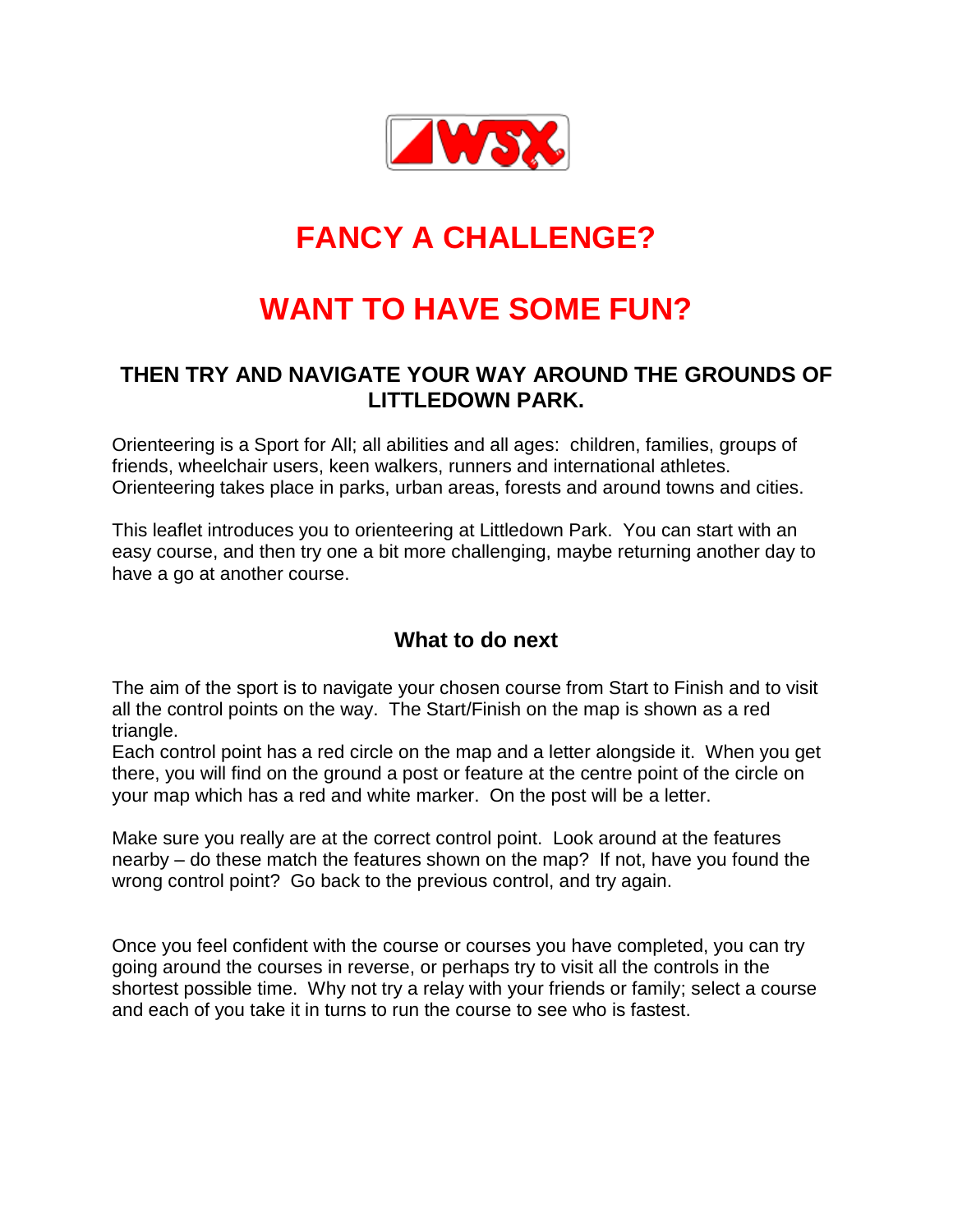

# **FANCY A CHALLENGE?**

# **WANT TO HAVE SOME FUN?**

## **THEN TRY AND NAVIGATE YOUR WAY AROUND THE GROUNDS OF LITTLEDOWN PARK.**

Orienteering is a Sport for All; all abilities and all ages: children, families, groups of friends, wheelchair users, keen walkers, runners and international athletes. Orienteering takes place in parks, urban areas, forests and around towns and cities.

This leaflet introduces you to orienteering at Littledown Park. You can start with an easy course, and then try one a bit more challenging, maybe returning another day to have a go at another course.

## **What to do next**

The aim of the sport is to navigate your chosen course from Start to Finish and to visit all the control points on the way. The Start/Finish on the map is shown as a red triangle.

Each control point has a red circle on the map and a letter alongside it. When you get there, you will find on the ground a post or feature at the centre point of the circle on your map which has a red and white marker. On the post will be a letter.

Make sure you really are at the correct control point. Look around at the features nearby – do these match the features shown on the map? If not, have you found the wrong control point? Go back to the previous control, and try again.

Once you feel confident with the course or courses you have completed, you can try going around the courses in reverse, or perhaps try to visit all the controls in the shortest possible time. Why not try a relay with your friends or family; select a course and each of you take it in turns to run the course to see who is fastest.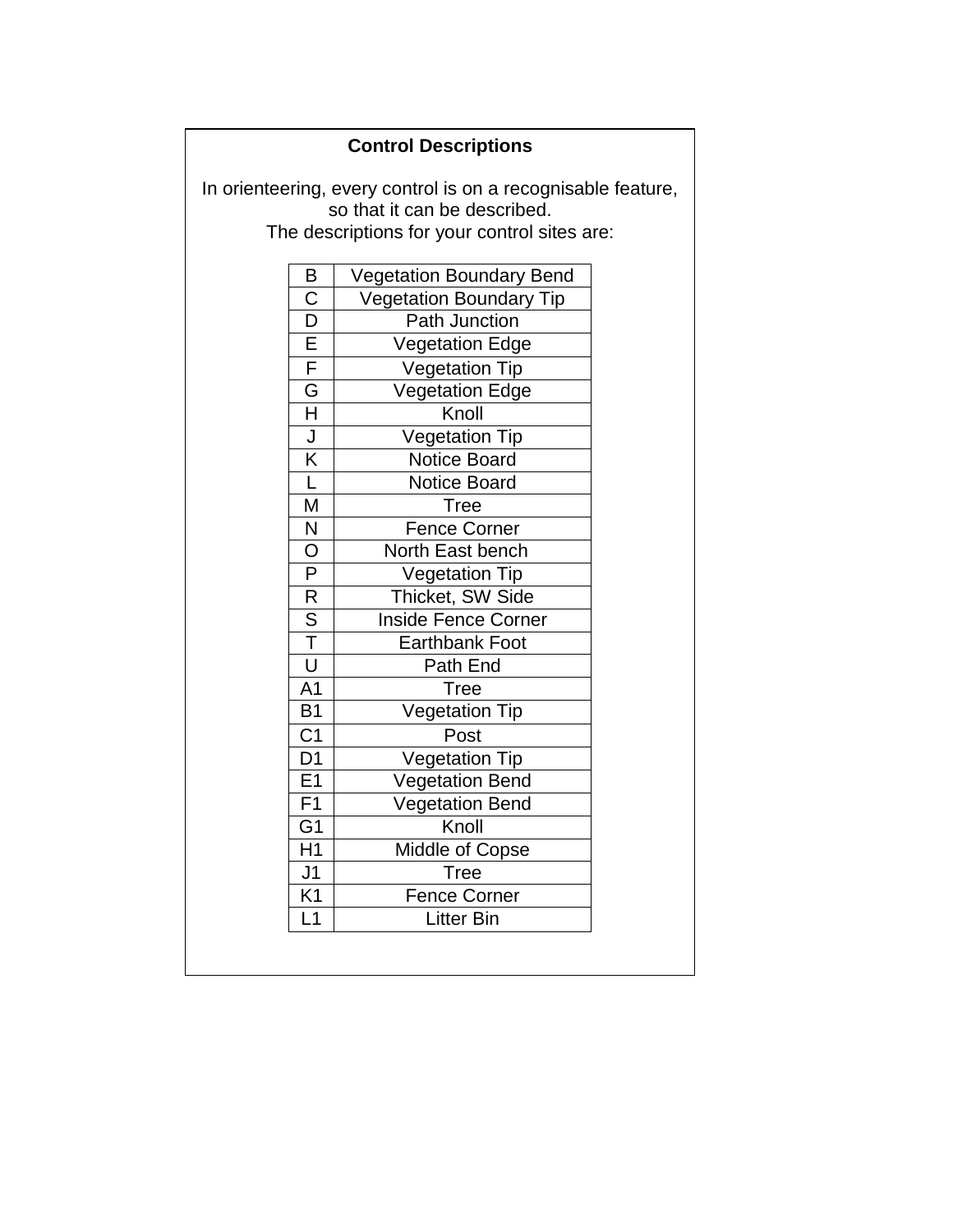#### **Control Descriptions**

In orienteering, every control is on a recognisable feature, so that it can be described. The descriptions for your control sites are:

| Β                       | <b>Vegetation Boundary Bend</b> |
|-------------------------|---------------------------------|
| $\overline{\text{C}}$   | <b>Vegetation Boundary Tip</b>  |
| $\overline{\mathsf{D}}$ | <b>Path Junction</b>            |
|                         | <b>Vegetation Edge</b>          |
| $rac{E}{F}$             | <b>Vegetation Tip</b>           |
| $\overline{\mathsf{G}}$ | <b>Vegetation Edge</b>          |
| $\overline{\mathsf{H}}$ | Knoll                           |
| $\frac{1}{K}$           | <b>Vegetation Tip</b>           |
|                         | <b>Notice Board</b>             |
| $\overline{\mathsf{L}}$ | <b>Notice Board</b>             |
| M                       | Tree                            |
| N                       | Fence Corner                    |
| $\overline{\mathsf{O}}$ | North East bench                |
| $\overline{P}$          | <b>Vegetation Tip</b>           |
| $\overline{\mathsf{R}}$ | Thicket, SW Side                |
| $\overline{\mathsf{s}}$ | <b>Inside Fence Corner</b>      |
| $\overline{\mathsf{T}}$ | <b>Earthbank Foot</b>           |
| $\overline{\mathtt{U}}$ | Path End                        |
| $\overline{A1}$         | Tree                            |
| $\overline{B}1$         | <b>Vegetation Tip</b>           |
| $\overline{C1}$         | Post                            |
| $\overline{D1}$         | <b>Vegetation Tip</b>           |
| E1                      | <b>Vegetation Bend</b>          |
| $\overline{F1}$         | <b>Vegetation Bend</b>          |
| G <sub>1</sub>          | Knoll                           |
| $\overline{H1}$         | <b>Middle of Copse</b>          |
| J <sub>1</sub>          | <b>Tree</b>                     |
| $\overline{K1}$         | <b>Fence Corner</b>             |
| L1                      | <b>Litter Bin</b>               |